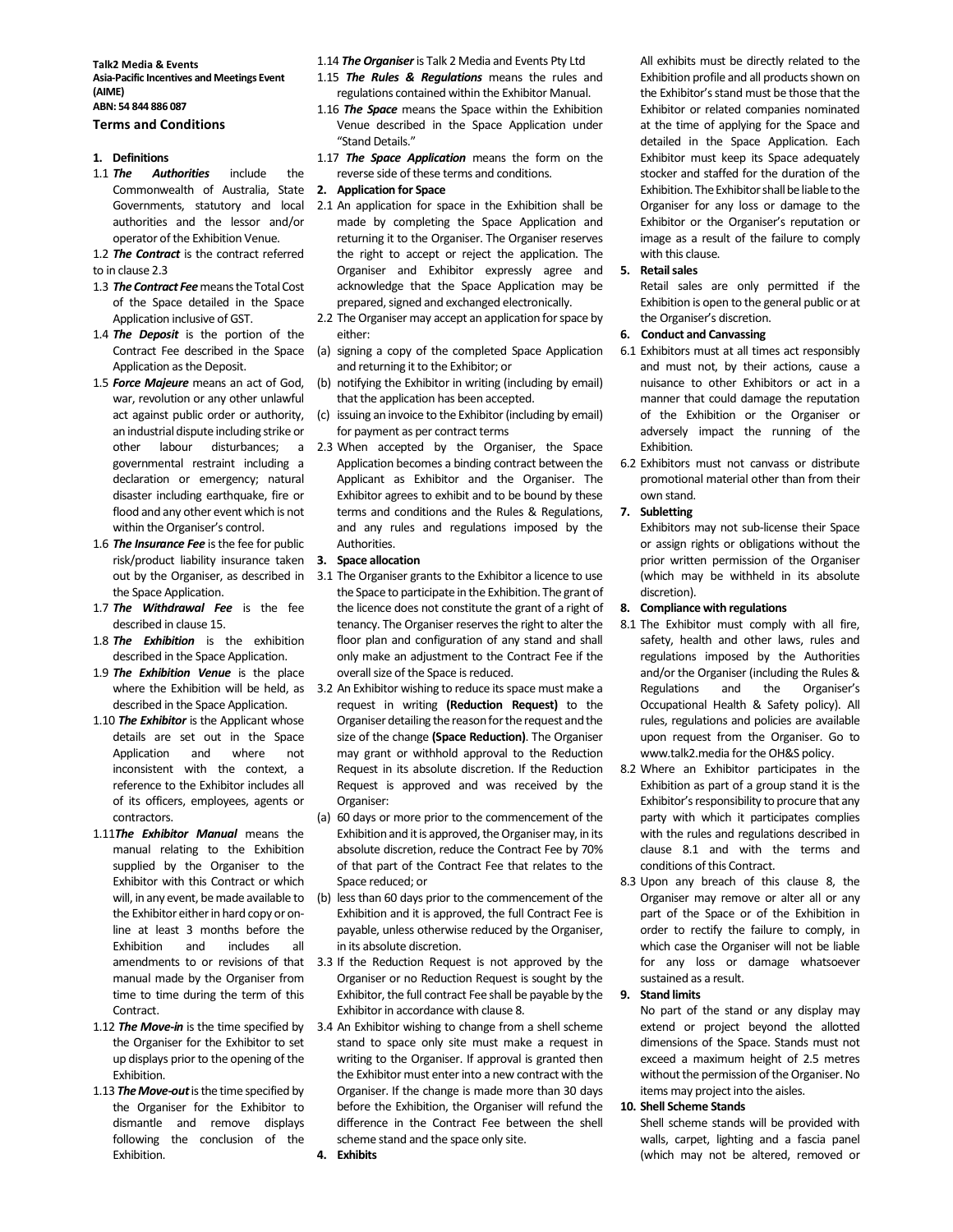Talk2 Media & Events Asia-Pacific Incentives and Meetings Event (AIME)

# ABN: 54 844 886 087

# Terms and Conditions

### 1. Definitions

- 1.1 The Authorities include the Commonwealth of Australia, State Governments, statutory and local authorities and the lessor and/or operator of the Exhibition Venue.
- 1.2 The Contract is the contract referred
- to in clause 2.3
- 1.3 The Contract Fee means the Total Cost of the Space detailed in the Space Application inclusive of GST.
- 1.4 The Deposit is the portion of the Contract Fee described in the Space Application as the Deposit.
- 1.5 Force Majeure means an act of God, war, revolution or any other unlawful act against public order or authority, an industrial dispute including strike or governmental restraint including a declaration or emergency; natural disaster including earthquake, fire or flood and any other event which is not within the Organiser's control.
- 1.6 The Insurance Fee is the fee for public risk/product liability insurance taken 3. Space allocation out by the Organiser, as described in the Space Application.
- 1.7 The Withdrawal Fee is the fee described in clause 15.
- 1.8 The Exhibition is the exhibition described in the Space Application.
- 1.9 The Exhibition Venue is the place described in the Space Application.
- 1.10 The Exhibitor is the Applicant whose details are set out in the Space Application and where not inconsistent with the context, a reference to the Exhibitor includes all of its officers, employees, agents or contractors.
- 1.11The Exhibitor Manual means the manual relating to the Exhibition supplied by the Organiser to the Exhibitor with this Contract or which will, in any event, be made available to the Exhibitor either in hard copy or online at least 3 months before the Exhibition and includes all amendments to or revisions of that manual made by the Organiser from time to time during the term of this Contract.
- 1.12 The Move-in is the time specified by the Organiser for the Exhibitor to set up displays prior to the opening of the Exhibition.
- 1.13 The Move-out is the time specified by the Organiser for the Exhibitor to dismantle and remove displays following the conclusion of the Exhibition.

1.14 The Organiser is Talk 2 Media and Events Pty Ltd

- 1.15 The Rules & Regulations means the rules and regulations contained within the Exhibitor Manual.
- 1.16 The Space means the Space within the Exhibition Venue described in the Space Application under "Stand Details."
- 1.17 The Space Application means the form on the reverse side of these terms and conditions.
- 2. Application for Space
- 2.1 An application for space in the Exhibition shall be made by completing the Space Application and returning it to the Organiser. The Organiser reserves the right to accept or reject the application. The Organiser and Exhibitor expressly agree and acknowledge that the Space Application may be prepared, signed and exchanged electronically.
- 2.2 The Organiser may accept an application for space by either:
- (a) signing a copy of the completed Space Application and returning it to the Exhibitor; or
- (b) notifying the Exhibitor in writing (including by email) that the application has been accepted.
- (c) issuing an invoice to the Exhibitor (including by email) for payment as per contract terms
- other labour disturbances; a 2.3 When accepted by the Organiser, the Space Application becomes a binding contract between the Applicant as Exhibitor and the Organiser. The Exhibitor agrees to exhibit and to be bound by these terms and conditions and the Rules & Regulations, and any rules and regulations imposed by the Authorities.

- 3.1 The Organiser grants to the Exhibitor a licence to use the Space to participate in the Exhibition. The grant of the licence does not constitute the grant of a right of tenancy. The Organiser reserves the right to alter the floor plan and configuration of any stand and shall only make an adjustment to the Contract Fee if the overall size of the Space is reduced.
- where the Exhibition will be held, as 3.2 An Exhibitor wishing to reduce its space must make a request in writing (Reduction Request) to the Organiser detailing the reason for the request and the size of the change (Space Reduction). The Organiser may grant or withhold approval to the Reduction Request in its absolute discretion. If the Reduction Request is approved and was received by the Organiser:
	- (a) 60 days or more prior to the commencement of the Exhibition and it is approved, the Organiser may, in its absolute discretion, reduce the Contract Fee by 70% of that part of the Contract Fee that relates to the Space reduced; or
	- (b) less than 60 days prior to the commencement of the Exhibition and it is approved, the full Contract Fee is payable, unless otherwise reduced by the Organiser, in its absolute discretion.
	- 3.3 If the Reduction Request is not approved by the Organiser or no Reduction Request is sought by the Exhibitor, the full contract Fee shall be payable by the Exhibitor in accordance with clause 8.
	- 3.4 An Exhibitor wishing to change from a shell scheme stand to space only site must make a request in writing to the Organiser. If approval is granted then the Exhibitor must enter into a new contract with the Organiser. If the change is made more than 30 days before the Exhibition, the Organiser will refund the difference in the Contract Fee between the shell scheme stand and the space only site.

 All exhibits must be directly related to the Exhibition profile and all products shown on the Exhibitor's stand must be those that the Exhibitor or related companies nominated at the time of applying for the Space and detailed in the Space Application. Each Exhibitor must keep its Space adequately stocker and staffed for the duration of the Exhibition. The Exhibitor shall be liable to the Organiser for any loss or damage to the Exhibitor or the Organiser's reputation or image as a result of the failure to comply with this clause.

#### 5. Retail sales

 Retail sales are only permitted if the Exhibition is open to the general public or at the Organiser's discretion.

- 6. Conduct and Canvassing
- 6.1 Exhibitors must at all times act responsibly and must not, by their actions, cause a nuisance to other Exhibitors or act in a manner that could damage the reputation of the Exhibition or the Organiser or adversely impact the running of the Exhibition.
- 6.2 Exhibitors must not canvass or distribute promotional material other than from their own stand.

# 7. Subletting

Exhibitors may not sub-license their Space or assign rights or obligations without the prior written permission of the Organiser (which may be withheld in its absolute discretion).

## 8. Compliance with regulations

- 8.1 The Exhibitor must comply with all fire, safety, health and other laws, rules and regulations imposed by the Authorities and/or the Organiser (including the Rules & Regulations and the Organiser's Occupational Health & Safety policy). All rules, regulations and policies are available upon request from the Organiser. Go to www.talk2.media for the OH&S policy.
- 8.2 Where an Exhibitor participates in the Exhibition as part of a group stand it is the Exhibitor's responsibility to procure that any party with which it participates complies with the rules and regulations described in clause 8.1 and with the terms and conditions of this Contract.
- 8.3 Upon any breach of this clause 8, the Organiser may remove or alter all or any part of the Space or of the Exhibition in order to rectify the failure to comply, in which case the Organiser will not be liable for any loss or damage whatsoever sustained as a result.

#### 9. Stand limits

 No part of the stand or any display may extend or project beyond the allotted dimensions of the Space. Stands must not exceed a maximum height of 2.5 metres without the permission of the Organiser. No items may project into the aisles.

### 10. Shell Scheme Stands

 Shell scheme stands will be provided with walls, carpet, lighting and a fascia panel (which may not be altered, removed or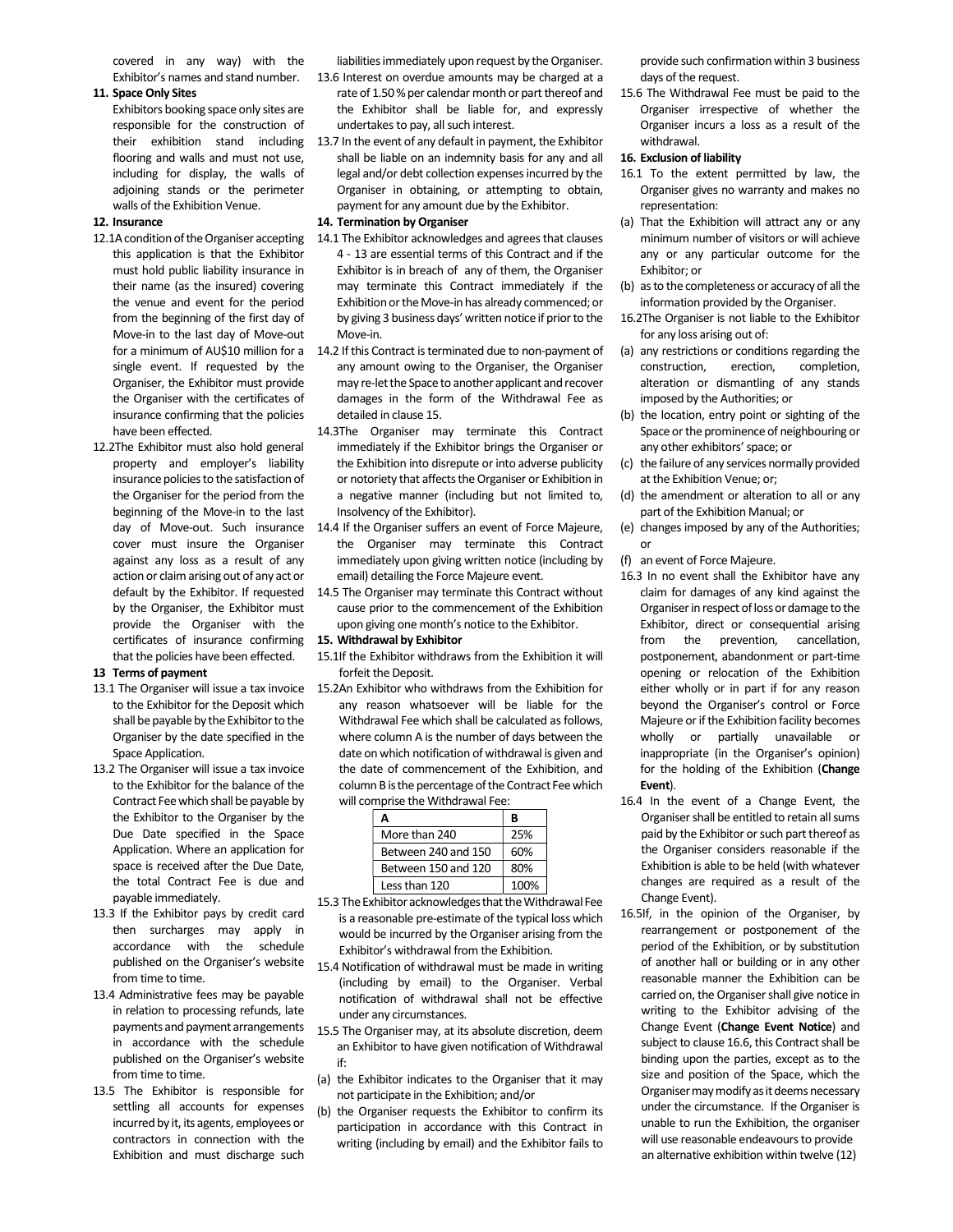covered in any way) with the Exhibitor's names and stand number.

# 11. Space Only Sites

 Exhibitors booking space only sites are responsible for the construction of their exhibition stand including flooring and walls and must not use, including for display, the walls of adjoining stands or the perimeter walls of the Exhibition Venue.

# 12. Insurance

- 12.1A condition of the Organiser accepting this application is that the Exhibitor must hold public liability insurance in their name (as the insured) covering the venue and event for the period from the beginning of the first day of Move-in to the last day of Move-out for a minimum of AU\$10 million for a single event. If requested by the Organiser, the Exhibitor must provide the Organiser with the certificates of insurance confirming that the policies have been effected.
- 12.2The Exhibitor must also hold general property and employer's liability insurance policies to the satisfaction of the Organiser for the period from the beginning of the Move-in to the last day of Move-out. Such insurance cover must insure the Organiser against any loss as a result of any action or claim arising out of any act or default by the Exhibitor. If requested by the Organiser, the Exhibitor must provide the Organiser with the certificates of insurance confirming that the policies have been effected.

#### 13 Terms of payment

- 13.1 The Organiser will issue a tax invoice to the Exhibitor for the Deposit which shall be payable by the Exhibitor to the Organiser by the date specified in the Space Application.
- 13.2 The Organiser will issue a tax invoice to the Exhibitor for the balance of the Contract Fee which shall be payable by the Exhibitor to the Organiser by the Due Date specified in the Space Application. Where an application for space is received after the Due Date, the total Contract Fee is due and payable immediately.
- 13.3 If the Exhibitor pays by credit card then surcharges may apply in accordance with the schedule published on the Organiser's website from time to time.
- 13.4 Administrative fees may be payable in relation to processing refunds, late payments and payment arrangements in accordance with the schedule published on the Organiser's website from time to time.
- 13.5 The Exhibitor is responsible for settling all accounts for expenses incurred by it, its agents, employees or contractors in connection with the Exhibition and must discharge such

liabilities immediately upon request by the Organiser. 13.6 Interest on overdue amounts may be charged at a rate of 1.50 % per calendar month or part thereof and the Exhibitor shall be liable for, and expressly undertakes to pay, all such interest.

13.7 In the event of any default in payment, the Exhibitor shall be liable on an indemnity basis for any and all legal and/or debt collection expenses incurred by the Organiser in obtaining, or attempting to obtain, payment for any amount due by the Exhibitor.

# 14. Termination by Organiser

- 14.1 The Exhibitor acknowledges and agrees that clauses 4 - 13 are essential terms of this Contract and if the Exhibitor is in breach of any of them, the Organiser may terminate this Contract immediately if the Exhibition or the Move-in has already commenced; or by giving 3 business days' written notice if prior to the Move-in.
- 14.2 If this Contract is terminated due to non-payment of any amount owing to the Organiser, the Organiser may re-let the Space to another applicant and recover damages in the form of the Withdrawal Fee as detailed in clause 15.
- 14.3The Organiser may terminate this Contract immediately if the Exhibitor brings the Organiser or the Exhibition into disrepute or into adverse publicity or notoriety that affects the Organiser or Exhibition in a negative manner (including but not limited to, Insolvency of the Exhibitor).
- 14.4 If the Organiser suffers an event of Force Majeure, the Organiser may terminate this Contract immediately upon giving written notice (including by email) detailing the Force Majeure event.
- 14.5 The Organiser may terminate this Contract without cause prior to the commencement of the Exhibition upon giving one month's notice to the Exhibitor.

# 15. Withdrawal by Exhibitor

- 15.1If the Exhibitor withdraws from the Exhibition it will forfeit the Deposit.
- 15.2An Exhibitor who withdraws from the Exhibition for any reason whatsoever will be liable for the Withdrawal Fee which shall be calculated as follows, where column A is the number of days between the date on which notification of withdrawal is given and the date of commencement of the Exhibition, and column B is the percentage of the Contract Fee which will comprise the Withdrawal Fee:

| Δ                   | R    |
|---------------------|------|
| More than 240       | 25%  |
| Between 240 and 150 | 60%  |
| Between 150 and 120 | 80%  |
| Less than 120       | 100% |

- 15.3 The Exhibitor acknowledges that the Withdrawal Fee is a reasonable pre-estimate of the typical loss which would be incurred by the Organiser arising from the Exhibitor's withdrawal from the Exhibition.
- 15.4 Notification of withdrawal must be made in writing (including by email) to the Organiser. Verbal notification of withdrawal shall not be effective under any circumstances.
- 15.5 The Organiser may, at its absolute discretion, deem an Exhibitor to have given notification of Withdrawal if:
- (a) the Exhibitor indicates to the Organiser that it may not participate in the Exhibition; and/or
- (b) the Organiser requests the Exhibitor to confirm its participation in accordance with this Contract in writing (including by email) and the Exhibitor fails to

provide such confirmation within 3 business days of the request.

15.6 The Withdrawal Fee must be paid to the Organiser irrespective of whether the Organiser incurs a loss as a result of the withdrawal.

## 16. Exclusion of liability

- 16.1 To the extent permitted by law, the Organiser gives no warranty and makes no representation:
- (a) That the Exhibition will attract any or any minimum number of visitors or will achieve any or any particular outcome for the Exhibitor; or
- (b) as to the completeness or accuracy of all the information provided by the Organiser.
- 16.2The Organiser is not liable to the Exhibitor for any loss arising out of:
- (a) any restrictions or conditions regarding the construction, erection, completion, alteration or dismantling of any stands imposed by the Authorities; or
- (b) the location, entry point or sighting of the Space or the prominence of neighbouring or any other exhibitors' space; or
- (c) the failure of any services normally provided at the Exhibition Venue; or;
- (d) the amendment or alteration to all or any part of the Exhibition Manual; or
- (e) changes imposed by any of the Authorities; or
- (f) an event of Force Majeure.
- 16.3 In no event shall the Exhibitor have any claim for damages of any kind against the Organiser in respect of loss or damage to the Exhibitor, direct or consequential arising from the prevention, cancellation, postponement, abandonment or part-time opening or relocation of the Exhibition either wholly or in part if for any reason beyond the Organiser's control or Force Majeure or if the Exhibition facility becomes wholly or partially unavailable or inappropriate (in the Organiser's opinion) for the holding of the Exhibition (Change Event).
- 16.4 In the event of a Change Event, the Organiser shall be entitled to retain all sums paid by the Exhibitor or such part thereof as the Organiser considers reasonable if the Exhibition is able to be held (with whatever changes are required as a result of the Change Event).
- 16.5If, in the opinion of the Organiser, by rearrangement or postponement of the period of the Exhibition, or by substitution of another hall or building or in any other reasonable manner the Exhibition can be carried on, the Organiser shall give notice in writing to the Exhibitor advising of the Change Event (Change Event Notice) and subject to clause 16.6, this Contract shall be binding upon the parties, except as to the size and position of the Space, which the Organiser may modify as it deems necessary under the circumstance. If the Organiser is unable to run the Exhibition, the organiser will use reasonable endeavours to provide an alternative exhibition within twelve (12)